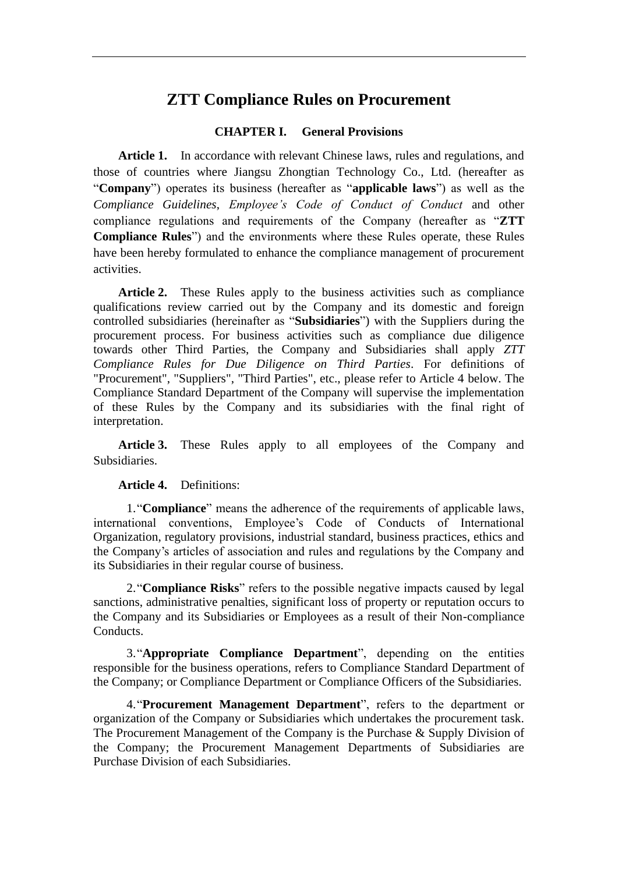# **ZTT Compliance Rules on Procurement**

### **CHAPTER I. General Provisions**

Article 1. In accordance with relevant Chinese laws, rules and regulations, and those of countries where Jiangsu Zhongtian Technology Co., Ltd. (hereafter as "**Company**") operates its business (hereafter as "**applicable laws**") as well as the *Compliance Guidelines*, *Employee's Code of Conduct of Conduct* and other compliance regulations and requirements of the Company (hereafter as "**ZTT Compliance Rules**") and the environments where these Rules operate, these Rules have been hereby formulated to enhance the compliance management of procurement activities.

Article 2. These Rules apply to the business activities such as compliance qualifications review carried out by the Company and its domestic and foreign controlled subsidiaries (hereinafter as "**Subsidiaries**") with the Suppliers during the procurement process. For business activities such as compliance due diligence towards other Third Parties, the Company and Subsidiaries shall apply *ZTT Compliance Rules for Due Diligence on Third Parties*. For definitions of "Procurement", "Suppliers", "Third Parties", etc., please refer to Article 4 below. The Compliance Standard Department of the Company will supervise the implementation of these Rules by the Company and its subsidiaries with the final right of interpretation.

**Article 3.** These Rules apply to all employees of the Company and Subsidiaries.

### **Article 4.** Definitions:

1."**Compliance**" means the adherence of the requirements of applicable laws, international conventions, Employee's Code of Conducts of International Organization, regulatory provisions, industrial standard, business practices, ethics and the Company's articles of association and rules and regulations by the Company and its Subsidiaries in their regular course of business.

2."**Compliance Risks**" refers to the possible negative impacts caused by legal sanctions, administrative penalties, significant loss of property or reputation occurs to the Company and its Subsidiaries or Employees as a result of their Non-compliance Conducts.

3."**Appropriate Compliance Department**", depending on the entities responsible for the business operations, refers to Compliance Standard Department of the Company; or Compliance Department or Compliance Officers of the Subsidiaries.

4."**Procurement Management Department**", refers to the department or organization of the Company or Subsidiaries which undertakes the procurement task. The Procurement Management of the Company is the Purchase  $\&$  Supply Division of the Company; the Procurement Management Departments of Subsidiaries are Purchase Division of each Subsidiaries.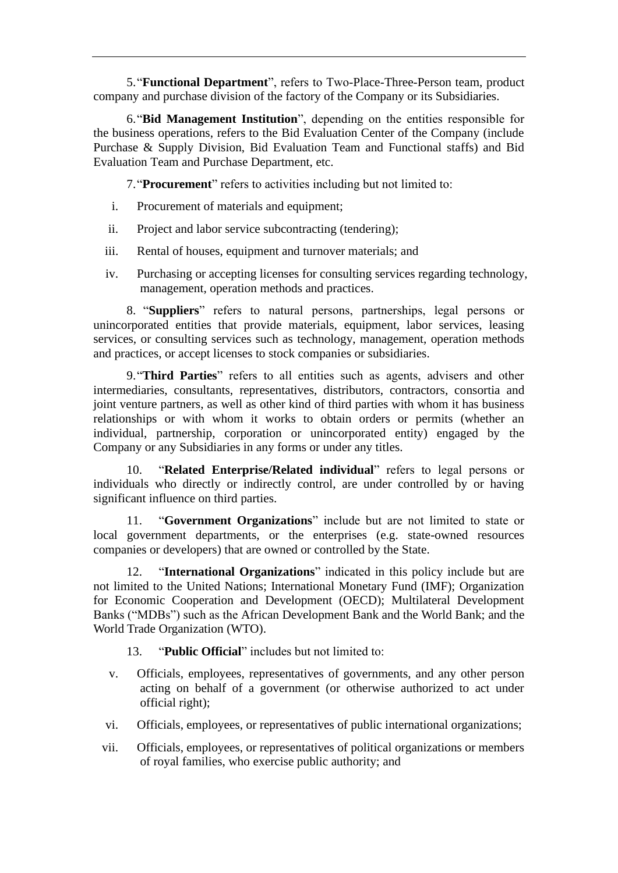5."**Functional Department**", refers to Two-Place-Three-Person team, product company and purchase division of the factory of the Company or its Subsidiaries.

6."**Bid Management Institution**", depending on the entities responsible for the business operations, refers to the Bid Evaluation Center of the Company (include Purchase & Supply Division, Bid Evaluation Team and Functional staffs) and Bid Evaluation Team and Purchase Department, etc.

7."**Procurement**" refers to activities including but not limited to:

- i. Procurement of materials and equipment;
- ii. Project and labor service subcontracting (tendering);
- iii. Rental of houses, equipment and turnover materials; and
- iv. Purchasing or accepting licenses for consulting services regarding technology, management, operation methods and practices.

8. "**Suppliers**" refers to natural persons, partnerships, legal persons or unincorporated entities that provide materials, equipment, labor services, leasing services, or consulting services such as technology, management, operation methods and practices, or accept licenses to stock companies or subsidiaries.

9."**Third Parties**" refers to all entities such as agents, advisers and other intermediaries, consultants, representatives, distributors, contractors, consortia and joint venture partners, as well as other kind of third parties with whom it has business relationships or with whom it works to obtain orders or permits (whether an individual, partnership, corporation or unincorporated entity) engaged by the Company or any Subsidiaries in any forms or under any titles.

10. "**Related Enterprise/Related individual**" refers to legal persons or individuals who directly or indirectly control, are under controlled by or having significant influence on third parties.

11. "**Government Organizations**" include but are not limited to state or local government departments, or the enterprises (e.g. state-owned resources companies or developers) that are owned or controlled by the State.

12. "**International Organizations**" indicated in this policy include but are not limited to the United Nations; International Monetary Fund (IMF); Organization for Economic Cooperation and Development (OECD); Multilateral Development Banks ("MDBs") such as the African Development Bank and the World Bank; and the World Trade Organization (WTO).

13. "**Public Official**" includes but not limited to:

- v. Officials, employees, representatives of governments, and any other person acting on behalf of a government (or otherwise authorized to act under official right);
- vi. Officials, employees, or representatives of public international organizations;
- vii. Officials, employees, or representatives of political organizations or members of royal families, who exercise public authority; and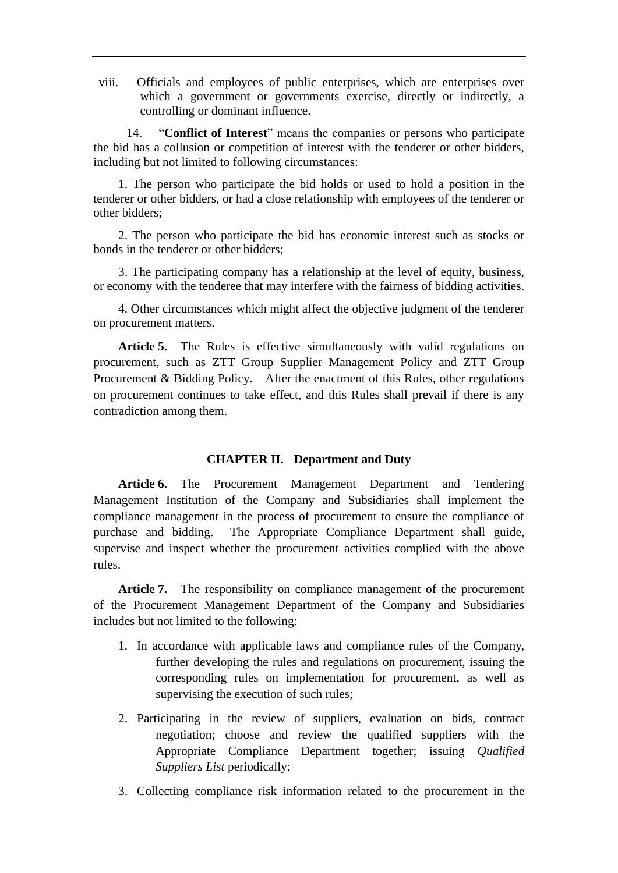viii. Officials and employees of public enterprises, which are enterprises over which a government or governments exercise, directly or indirectly, a controlling or dominant influence.

14. "**Conflict of Interest**" means the companies or persons who participate the bid has a collusion or competition of interest with the tenderer or other bidders, including but not limited to following circumstances:

1. The person who participate the bid holds or used to hold a position in the tenderer or other bidders, or had a close relationship with employees of the tenderer or other bidders;

2. The person who participate the bid has economic interest such as stocks or bonds in the tenderer or other bidders;

3. The participating company has a relationship at the level of equity, business, or economy with the tenderee that may interfere with the fairness of bidding activities.

4. Other circumstances which might affect the objective judgment of the tenderer on procurement matters.

Article 5. The Rules is effective simultaneously with valid regulations on procurement, such as ZTT Group Supplier Management Policy and ZTT Group Procurement & Bidding Policy. After the enactment of this Rules, other regulations on procurement continues to take effect, and this Rules shall prevail if there is any contradiction among them.

### **CHAPTER II. Department and Duty**

**Article 6.** The Procurement Management Department and Tendering Management Institution of the Company and Subsidiaries shall implement the compliance management in the process of procurement to ensure the compliance of purchase and bidding. The Appropriate Compliance Department shall guide, supervise and inspect whether the procurement activities complied with the above rules.

Article 7. The responsibility on compliance management of the procurement of the Procurement Management Department of the Company and Subsidiaries includes but not limited to the following:

- 1. In accordance with applicable laws and compliance rules of the Company, further developing the rules and regulations on procurement, issuing the corresponding rules on implementation for procurement, as well as supervising the execution of such rules;
- 2. Participating in the review of suppliers, evaluation on bids, contract negotiation; choose and review the qualified suppliers with the Appropriate Compliance Department together; issuing *Qualified Suppliers List* periodically;
- 3. Collecting compliance risk information related to the procurement in the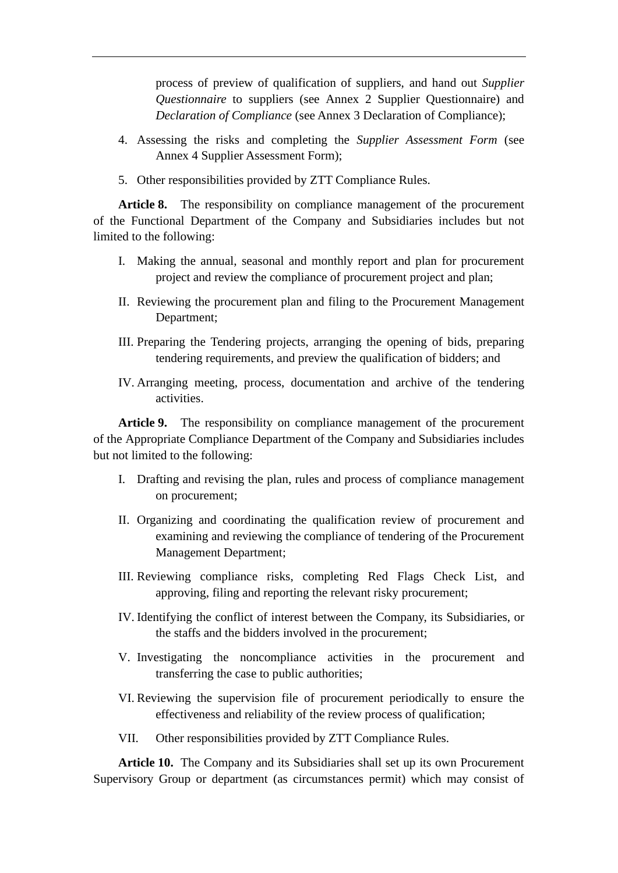process of preview of qualification of suppliers, and hand out *Supplier Questionnaire* to suppliers (see Annex 2 Supplier Questionnaire) and *Declaration of Compliance* (see Annex 3 Declaration of Compliance);

- 4. Assessing the risks and completing the *Supplier Assessment Form* (see Annex 4 Supplier Assessment Form);
- 5. Other responsibilities provided by ZTT Compliance Rules.

**Article 8.** The responsibility on compliance management of the procurement of the Functional Department of the Company and Subsidiaries includes but not limited to the following:

- I. Making the annual, seasonal and monthly report and plan for procurement project and review the compliance of procurement project and plan;
- II. Reviewing the procurement plan and filing to the Procurement Management Department;
- III. Preparing the Tendering projects, arranging the opening of bids, preparing tendering requirements, and preview the qualification of bidders; and
- IV. Arranging meeting, process, documentation and archive of the tendering activities.

**Article 9.** The responsibility on compliance management of the procurement of the Appropriate Compliance Department of the Company and Subsidiaries includes but not limited to the following:

- I. Drafting and revising the plan, rules and process of compliance management on procurement;
- II. Organizing and coordinating the qualification review of procurement and examining and reviewing the compliance of tendering of the Procurement Management Department;
- III. Reviewing compliance risks, completing Red Flags Check List, and approving, filing and reporting the relevant risky procurement;
- IV. Identifying the conflict of interest between the Company, its Subsidiaries, or the staffs and the bidders involved in the procurement;
- V. Investigating the noncompliance activities in the procurement and transferring the case to public authorities;
- VI. Reviewing the supervision file of procurement periodically to ensure the effectiveness and reliability of the review process of qualification;
- VII. Other responsibilities provided by ZTT Compliance Rules.

**Article 10.** The Company and its Subsidiaries shall set up its own Procurement Supervisory Group or department (as circumstances permit) which may consist of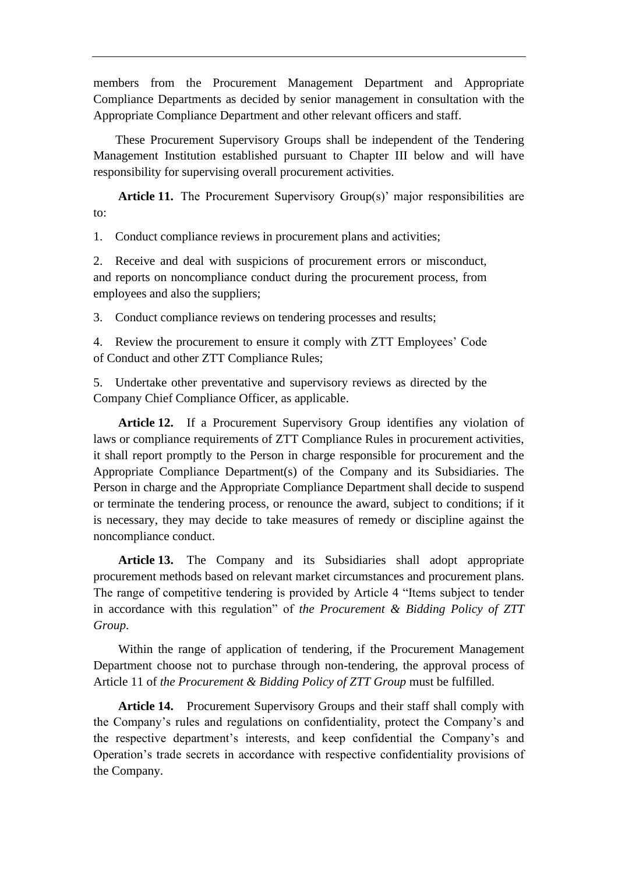members from the Procurement Management Department and Appropriate Compliance Departments as decided by senior management in consultation with the Appropriate Compliance Department and other relevant officers and staff.

These Procurement Supervisory Groups shall be independent of the Tendering Management Institution established pursuant to Chapter III below and will have responsibility for supervising overall procurement activities.

**Article 11.** The Procurement Supervisory Group(s)' major responsibilities are to:

1. Conduct compliance reviews in procurement plans and activities;

2. Receive and deal with suspicions of procurement errors or misconduct, and reports on noncompliance conduct during the procurement process, from employees and also the suppliers;

3. Conduct compliance reviews on tendering processes and results;

4. Review the procurement to ensure it comply with ZTT Employees' Code of Conduct and other ZTT Compliance Rules;

5. Undertake other preventative and supervisory reviews as directed by the Company Chief Compliance Officer, as applicable.

**Article 12.** If a Procurement Supervisory Group identifies any violation of laws or compliance requirements of ZTT Compliance Rules in procurement activities, it shall report promptly to the Person in charge responsible for procurement and the Appropriate Compliance Department(s) of the Company and its Subsidiaries. The Person in charge and the Appropriate Compliance Department shall decide to suspend or terminate the tendering process, or renounce the award, subject to conditions; if it is necessary, they may decide to take measures of remedy or discipline against the noncompliance conduct.

**Article 13.** The Company and its Subsidiaries shall adopt appropriate procurement methods based on relevant market circumstances and procurement plans. The range of competitive tendering is provided by Article 4 "Items subject to tender in accordance with this regulation" of *the Procurement & Bidding Policy of ZTT Group*.

Within the range of application of tendering, if the Procurement Management Department choose not to purchase through non-tendering, the approval process of Article 11 of *the Procurement & Bidding Policy of ZTT Group* must be fulfilled.

**Article 14.** Procurement Supervisory Groups and their staff shall comply with the Company's rules and regulations on confidentiality, protect the Company's and the respective department's interests, and keep confidential the Company's and Operation's trade secrets in accordance with respective confidentiality provisions of the Company.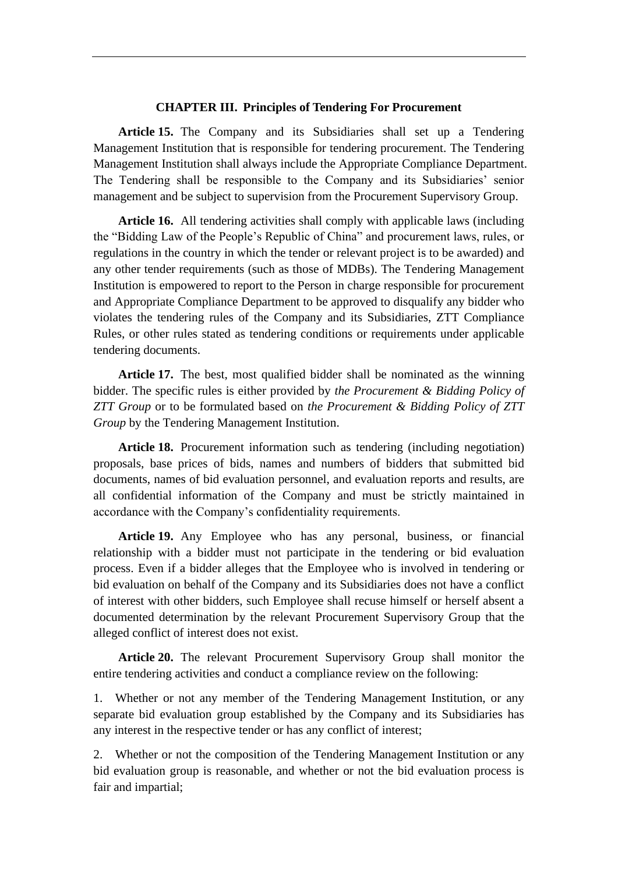### **CHAPTER III. Principles of Tendering For Procurement**

**Article 15.** The Company and its Subsidiaries shall set up a Tendering Management Institution that is responsible for tendering procurement. The Tendering Management Institution shall always include the Appropriate Compliance Department. The Tendering shall be responsible to the Company and its Subsidiaries' senior management and be subject to supervision from the Procurement Supervisory Group.

**Article 16.** All tendering activities shall comply with applicable laws (including the "Bidding Law of the People's Republic of China" and procurement laws, rules, or regulations in the country in which the tender or relevant project is to be awarded) and any other tender requirements (such as those of MDBs). The Tendering Management Institution is empowered to report to the Person in charge responsible for procurement and Appropriate Compliance Department to be approved to disqualify any bidder who violates the tendering rules of the Company and its Subsidiaries, ZTT Compliance Rules, or other rules stated as tendering conditions or requirements under applicable tendering documents.

**Article 17.** The best, most qualified bidder shall be nominated as the winning bidder. The specific rules is either provided by *the Procurement & Bidding Policy of ZTT Group* or to be formulated based on *the Procurement & Bidding Policy of ZTT Group* by the Tendering Management Institution.

**Article 18.** Procurement information such as tendering (including negotiation) proposals, base prices of bids, names and numbers of bidders that submitted bid documents, names of bid evaluation personnel, and evaluation reports and results, are all confidential information of the Company and must be strictly maintained in accordance with the Company's confidentiality requirements.

**Article 19.** Any Employee who has any personal, business, or financial relationship with a bidder must not participate in the tendering or bid evaluation process. Even if a bidder alleges that the Employee who is involved in tendering or bid evaluation on behalf of the Company and its Subsidiaries does not have a conflict of interest with other bidders, such Employee shall recuse himself or herself absent a documented determination by the relevant Procurement Supervisory Group that the alleged conflict of interest does not exist.

**Article 20.** The relevant Procurement Supervisory Group shall monitor the entire tendering activities and conduct a compliance review on the following:

1. Whether or not any member of the Tendering Management Institution, or any separate bid evaluation group established by the Company and its Subsidiaries has any interest in the respective tender or has any conflict of interest;

2. Whether or not the composition of the Tendering Management Institution or any bid evaluation group is reasonable, and whether or not the bid evaluation process is fair and impartial;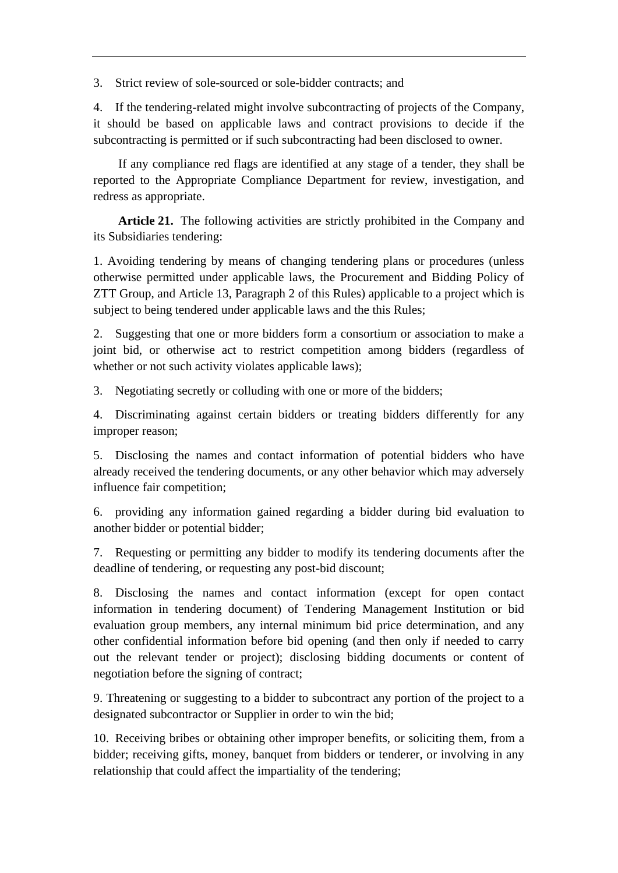3. Strict review of sole-sourced or sole-bidder contracts; and

4. If the tendering-related might involve subcontracting of projects of the Company, it should be based on applicable laws and contract provisions to decide if the subcontracting is permitted or if such subcontracting had been disclosed to owner.

If any compliance red flags are identified at any stage of a tender, they shall be reported to the Appropriate Compliance Department for review, investigation, and redress as appropriate.

**Article 21.** The following activities are strictly prohibited in the Company and its Subsidiaries tendering:

1. Avoiding tendering by means of changing tendering plans or procedures (unless otherwise permitted under applicable laws, the Procurement and Bidding Policy of ZTT Group, and Article 13, Paragraph 2 of this Rules) applicable to a project which is subject to being tendered under applicable laws and the this Rules;

2. Suggesting that one or more bidders form a consortium or association to make a joint bid, or otherwise act to restrict competition among bidders (regardless of whether or not such activity violates applicable laws);

3. Negotiating secretly or colluding with one or more of the bidders;

4. Discriminating against certain bidders or treating bidders differently for any improper reason;

5. Disclosing the names and contact information of potential bidders who have already received the tendering documents, or any other behavior which may adversely influence fair competition;

6. providing any information gained regarding a bidder during bid evaluation to another bidder or potential bidder;

7. Requesting or permitting any bidder to modify its tendering documents after the deadline of tendering, or requesting any post-bid discount;

8. Disclosing the names and contact information (except for open contact information in tendering document) of Tendering Management Institution or bid evaluation group members, any internal minimum bid price determination, and any other confidential information before bid opening (and then only if needed to carry out the relevant tender or project); disclosing bidding documents or content of negotiation before the signing of contract;

9. Threatening or suggesting to a bidder to subcontract any portion of the project to a designated subcontractor or Supplier in order to win the bid;

10. Receiving bribes or obtaining other improper benefits, or soliciting them, from a bidder; receiving gifts, money, banquet from bidders or tenderer, or involving in any relationship that could affect the impartiality of the tendering;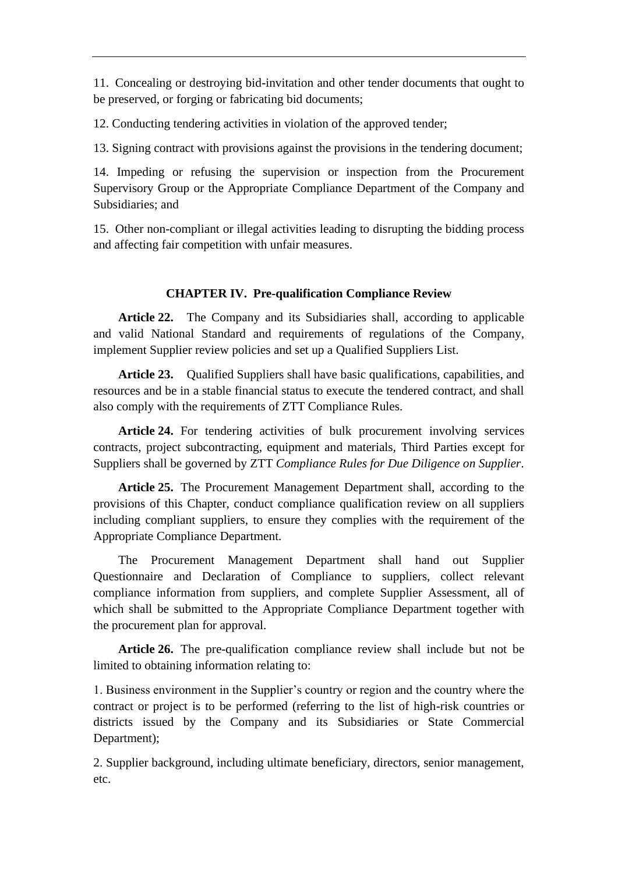11. Concealing or destroying bid-invitation and other tender documents that ought to be preserved, or forging or fabricating bid documents;

12. Conducting tendering activities in violation of the approved tender;

13. Signing contract with provisions against the provisions in the tendering document;

14. Impeding or refusing the supervision or inspection from the Procurement Supervisory Group or the Appropriate Compliance Department of the Company and Subsidiaries; and

15. Other non-compliant or illegal activities leading to disrupting the bidding process and affecting fair competition with unfair measures.

### **CHAPTER IV. Pre-qualification Compliance Review**

**Article 22.** The Company and its Subsidiaries shall, according to applicable and valid National Standard and requirements of regulations of the Company, implement Supplier review policies and set up a Qualified Suppliers List.

**Article 23.** Qualified Suppliers shall have basic qualifications, capabilities, and resources and be in a stable financial status to execute the tendered contract, and shall also comply with the requirements of ZTT Compliance Rules.

**Article 24.** For tendering activities of bulk procurement involving services contracts, project subcontracting, equipment and materials, Third Parties except for Suppliers shall be governed by ZTT *Compliance Rules for Due Diligence on Supplier*.

**Article 25.** The Procurement Management Department shall, according to the provisions of this Chapter, conduct compliance qualification review on all suppliers including compliant suppliers, to ensure they complies with the requirement of the Appropriate Compliance Department.

The Procurement Management Department shall hand out Supplier Questionnaire and Declaration of Compliance to suppliers, collect relevant compliance information from suppliers, and complete Supplier Assessment, all of which shall be submitted to the Appropriate Compliance Department together with the procurement plan for approval.

**Article 26.** The pre-qualification compliance review shall include but not be limited to obtaining information relating to:

1. Business environment in the Supplier's country or region and the country where the contract or project is to be performed (referring to the list of high-risk countries or districts issued by the Company and its Subsidiaries or State Commercial Department);

2. Supplier background, including ultimate beneficiary, directors, senior management, etc.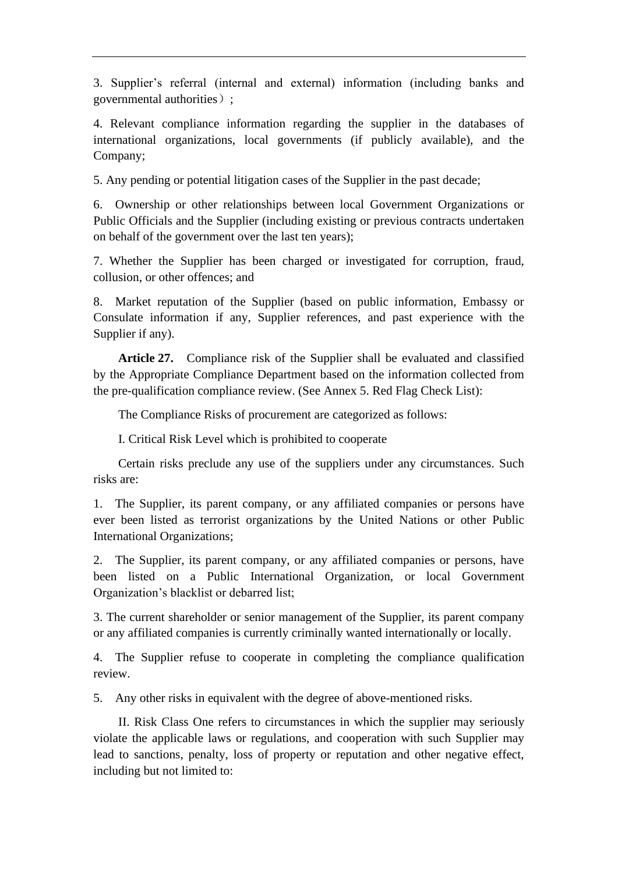3. Supplier's referral (internal and external) information (including banks and governmental authorities) ;

4. Relevant compliance information regarding the supplier in the databases of international organizations, local governments (if publicly available), and the Company;

5. Any pending or potential litigation cases of the Supplier in the past decade;

6. Ownership or other relationships between local Government Organizations or Public Officials and the Supplier (including existing or previous contracts undertaken on behalf of the government over the last ten years);

7. Whether the Supplier has been charged or investigated for corruption, fraud, collusion, or other offences; and

8. Market reputation of the Supplier (based on public information, Embassy or Consulate information if any, Supplier references, and past experience with the Supplier if any).

**Article 27.** Compliance risk of the Supplier shall be evaluated and classified by the Appropriate Compliance Department based on the information collected from the pre-qualification compliance review. (See Annex 5. Red Flag Check List):

The Compliance Risks of procurement are categorized as follows:

I. Critical Risk Level which is prohibited to cooperate

Certain risks preclude any use of the suppliers under any circumstances. Such risks are:

1. The Supplier, its parent company, or any affiliated companies or persons have ever been listed as terrorist organizations by the United Nations or other Public International Organizations;

2. The Supplier, its parent company, or any affiliated companies or persons, have been listed on a Public International Organization, or local Government Organization's blacklist or debarred list;

3. The current shareholder or senior management of the Supplier, its parent company or any affiliated companies is currently criminally wanted internationally or locally.

4. The Supplier refuse to cooperate in completing the compliance qualification review.

5. Any other risks in equivalent with the degree of above-mentioned risks.

II. Risk Class One refers to circumstances in which the supplier may seriously violate the applicable laws or regulations, and cooperation with such Supplier may lead to sanctions, penalty, loss of property or reputation and other negative effect, including but not limited to: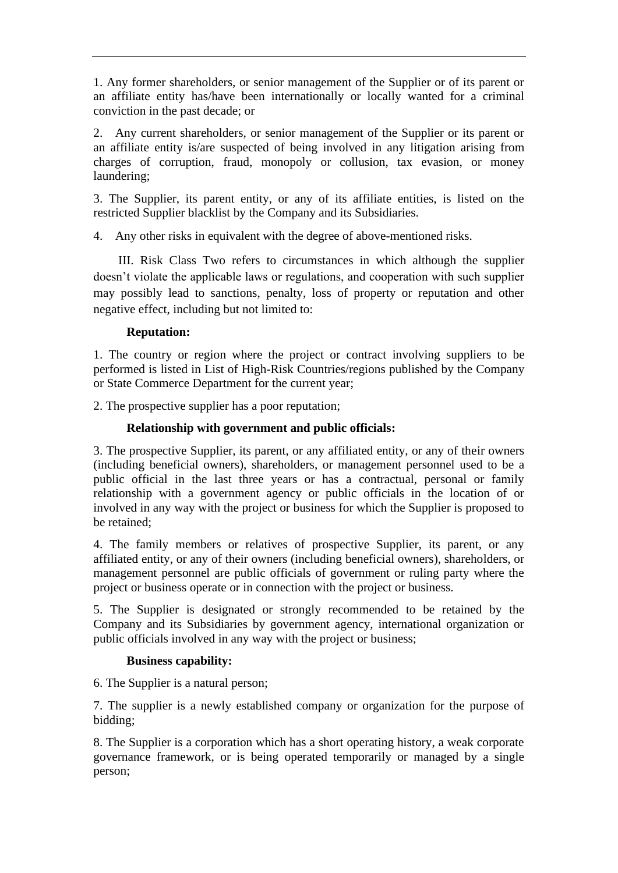1. Any former shareholders, or senior management of the Supplier or of its parent or an affiliate entity has/have been internationally or locally wanted for a criminal conviction in the past decade; or

2. Any current shareholders, or senior management of the Supplier or its parent or an affiliate entity is/are suspected of being involved in any litigation arising from charges of corruption, fraud, monopoly or collusion, tax evasion, or money laundering;

3. The Supplier, its parent entity, or any of its affiliate entities, is listed on the restricted Supplier blacklist by the Company and its Subsidiaries.

4. Any other risks in equivalent with the degree of above-mentioned risks.

III. Risk Class Two refers to circumstances in which although the supplier doesn't violate the applicable laws or regulations, and cooperation with such supplier may possibly lead to sanctions, penalty, loss of property or reputation and other negative effect, including but not limited to:

## **Reputation:**

1. The country or region where the project or contract involving suppliers to be performed is listed in List of High-Risk Countries/regions published by the Company or State Commerce Department for the current year;

2. The prospective supplier has a poor reputation;

## **Relationship with government and public officials:**

3. The prospective Supplier, its parent, or any affiliated entity, or any of their owners (including beneficial owners), shareholders, or management personnel used to be a public official in the last three years or has a contractual, personal or family relationship with a government agency or public officials in the location of or involved in any way with the project or business for which the Supplier is proposed to be retained;

4. The family members or relatives of prospective Supplier, its parent, or any affiliated entity, or any of their owners (including beneficial owners), shareholders, or management personnel are public officials of government or ruling party where the project or business operate or in connection with the project or business.

5. The Supplier is designated or strongly recommended to be retained by the Company and its Subsidiaries by government agency, international organization or public officials involved in any way with the project or business;

### **Business capability:**

6. The Supplier is a natural person;

7. The supplier is a newly established company or organization for the purpose of bidding;

8. The Supplier is a corporation which has a short operating history, a weak corporate governance framework, or is being operated temporarily or managed by a single person;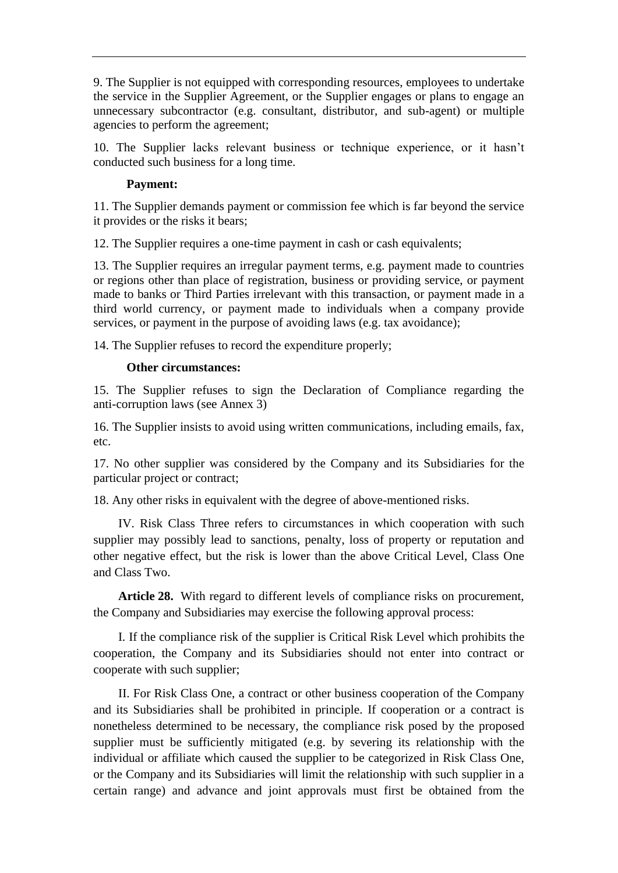9. The Supplier is not equipped with corresponding resources, employees to undertake the service in the Supplier Agreement, or the Supplier engages or plans to engage an unnecessary subcontractor (e.g. consultant, distributor, and sub-agent) or multiple agencies to perform the agreement;

10. The Supplier lacks relevant business or technique experience, or it hasn't conducted such business for a long time.

## **Payment:**

11. The Supplier demands payment or commission fee which is far beyond the service it provides or the risks it bears;

12. The Supplier requires a one-time payment in cash or cash equivalents;

13. The Supplier requires an irregular payment terms, e.g. payment made to countries or regions other than place of registration, business or providing service, or payment made to banks or Third Parties irrelevant with this transaction, or payment made in a third world currency, or payment made to individuals when a company provide services, or payment in the purpose of avoiding laws (e.g. tax avoidance);

14. The Supplier refuses to record the expenditure properly;

### **Other circumstances:**

15. The Supplier refuses to sign the Declaration of Compliance regarding the anti-corruption laws (see Annex 3)

16. The Supplier insists to avoid using written communications, including emails, fax, etc.

17. No other supplier was considered by the Company and its Subsidiaries for the particular project or contract;

18. Any other risks in equivalent with the degree of above-mentioned risks.

IV. Risk Class Three refers to circumstances in which cooperation with such supplier may possibly lead to sanctions, penalty, loss of property or reputation and other negative effect, but the risk is lower than the above Critical Level, Class One and Class Two.

**Article 28.** With regard to different levels of compliance risks on procurement, the Company and Subsidiaries may exercise the following approval process:

I. If the compliance risk of the supplier is Critical Risk Level which prohibits the cooperation, the Company and its Subsidiaries should not enter into contract or cooperate with such supplier;

II. For Risk Class One, a contract or other business cooperation of the Company and its Subsidiaries shall be prohibited in principle. If cooperation or a contract is nonetheless determined to be necessary, the compliance risk posed by the proposed supplier must be sufficiently mitigated (e.g. by severing its relationship with the individual or affiliate which caused the supplier to be categorized in Risk Class One, or the Company and its Subsidiaries will limit the relationship with such supplier in a certain range) and advance and joint approvals must first be obtained from the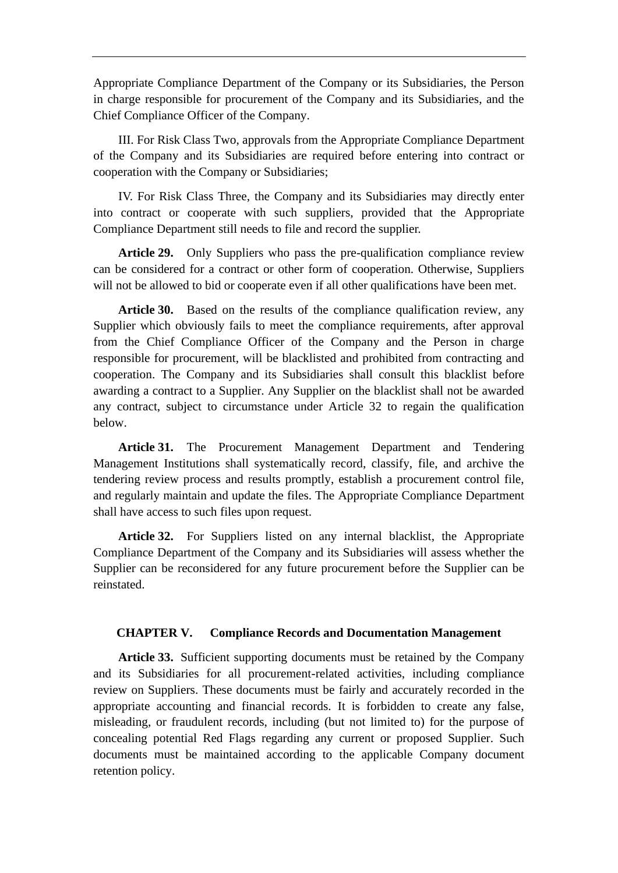Appropriate Compliance Department of the Company or its Subsidiaries, the Person in charge responsible for procurement of the Company and its Subsidiaries, and the Chief Compliance Officer of the Company.

III. For Risk Class Two, approvals from the Appropriate Compliance Department of the Company and its Subsidiaries are required before entering into contract or cooperation with the Company or Subsidiaries;

IV. For Risk Class Three, the Company and its Subsidiaries may directly enter into contract or cooperate with such suppliers, provided that the Appropriate Compliance Department still needs to file and record the supplier.

**Article 29.** Only Suppliers who pass the pre-qualification compliance review can be considered for a contract or other form of cooperation. Otherwise, Suppliers will not be allowed to bid or cooperate even if all other qualifications have been met.

**Article 30.** Based on the results of the compliance qualification review, any Supplier which obviously fails to meet the compliance requirements, after approval from the Chief Compliance Officer of the Company and the Person in charge responsible for procurement, will be blacklisted and prohibited from contracting and cooperation. The Company and its Subsidiaries shall consult this blacklist before awarding a contract to a Supplier. Any Supplier on the blacklist shall not be awarded any contract, subject to circumstance under Article 32 to regain the qualification below.

**Article 31.** The Procurement Management Department and Tendering Management Institutions shall systematically record, classify, file, and archive the tendering review process and results promptly, establish a procurement control file, and regularly maintain and update the files. The Appropriate Compliance Department shall have access to such files upon request.

**Article 32.** For Suppliers listed on any internal blacklist, the Appropriate Compliance Department of the Company and its Subsidiaries will assess whether the Supplier can be reconsidered for any future procurement before the Supplier can be reinstated.

### **CHAPTER V. Compliance Records and Documentation Management**

**Article 33.** Sufficient supporting documents must be retained by the Company and its Subsidiaries for all procurement-related activities, including compliance review on Suppliers. These documents must be fairly and accurately recorded in the appropriate accounting and financial records. It is forbidden to create any false, misleading, or fraudulent records, including (but not limited to) for the purpose of concealing potential Red Flags regarding any current or proposed Supplier. Such documents must be maintained according to the applicable Company document retention policy.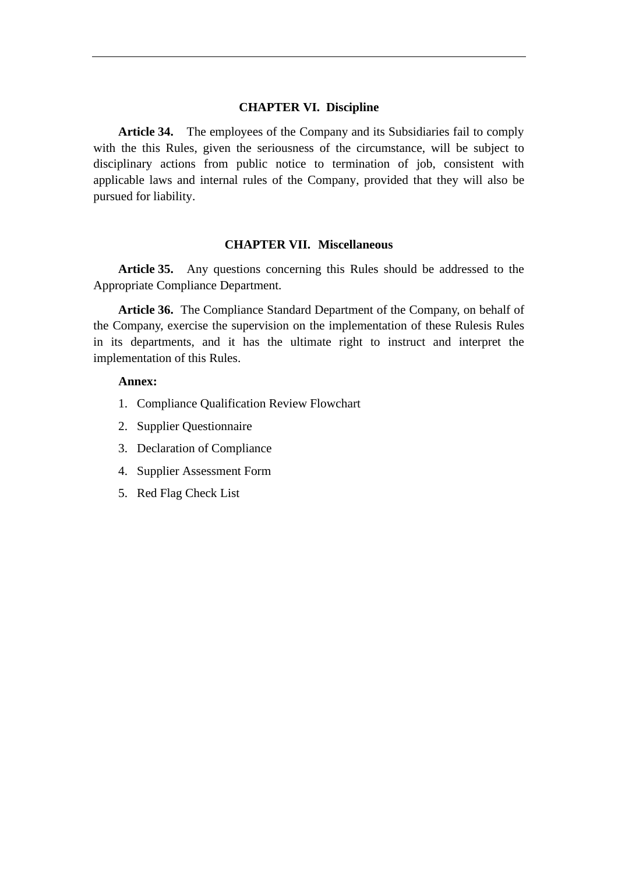#### **CHAPTER VI. Discipline**

**Article 34.** The employees of the Company and its Subsidiaries fail to comply with the this Rules, given the seriousness of the circumstance, will be subject to disciplinary actions from public notice to termination of job, consistent with applicable laws and internal rules of the Company, provided that they will also be pursued for liability.

### **CHAPTER VII. Miscellaneous**

**Article 35.** Any questions concerning this Rules should be addressed to the Appropriate Compliance Department.

**Article 36.** The Compliance Standard Department of the Company, on behalf of the Company, exercise the supervision on the implementation of these Rulesis Rules in its departments, and it has the ultimate right to instruct and interpret the implementation of this Rules.

### **Annex:**

- 1. Compliance Qualification Review Flowchart
- 2. Supplier Questionnaire
- 3. Declaration of Compliance
- 4. Supplier Assessment Form
- 5. Red Flag Check List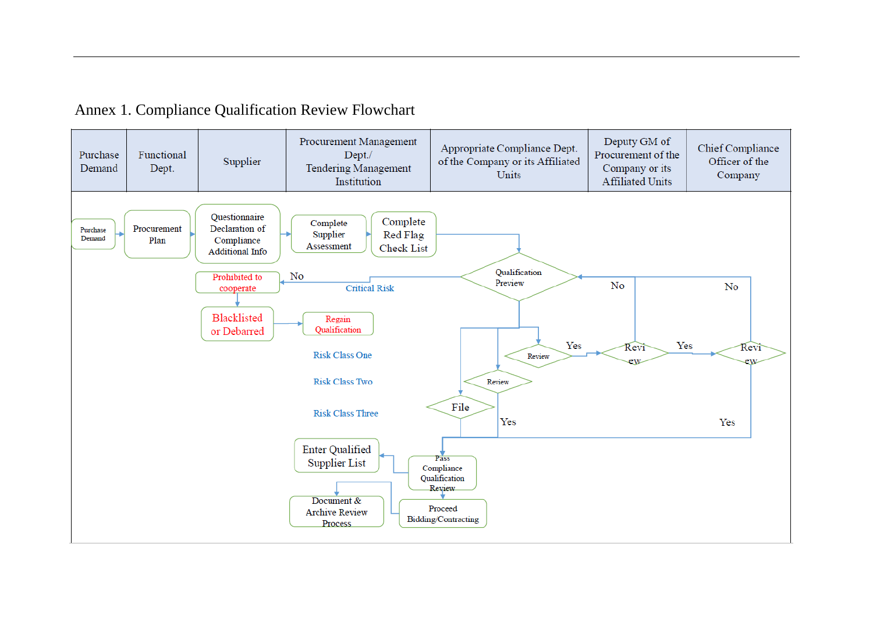# Annex 1. Compliance Qualification Review Flowchart

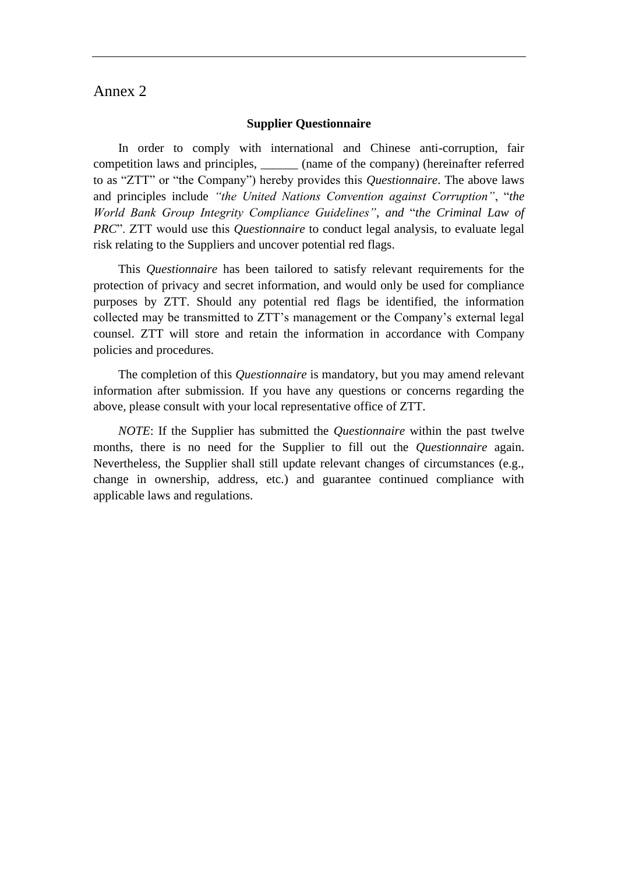## Annex 2

#### **Supplier Questionnaire**

In order to comply with international and Chinese anti-corruption, fair competition laws and principles, \_\_\_\_\_\_ (name of the company) (hereinafter referred to as "ZTT" or "the Company") hereby provides this *Questionnaire*. The above laws and principles include *"the United Nations Convention against Corruption"*, "*the World Bank Group Integrity Compliance Guidelines"*, *and* "*the Criminal Law of PRC*". ZTT would use this *Questionnaire* to conduct legal analysis, to evaluate legal risk relating to the Suppliers and uncover potential red flags.

This *Questionnaire* has been tailored to satisfy relevant requirements for the protection of privacy and secret information, and would only be used for compliance purposes by ZTT. Should any potential red flags be identified, the information collected may be transmitted to ZTT's management or the Company's external legal counsel. ZTT will store and retain the information in accordance with Company policies and procedures.

The completion of this *Questionnaire* is mandatory, but you may amend relevant information after submission. If you have any questions or concerns regarding the above, please consult with your local representative office of ZTT.

*NOTE*: If the Supplier has submitted the *Questionnaire* within the past twelve months, there is no need for the Supplier to fill out the *Questionnaire* again. Nevertheless, the Supplier shall still update relevant changes of circumstances (e.g., change in ownership, address, etc.) and guarantee continued compliance with applicable laws and regulations.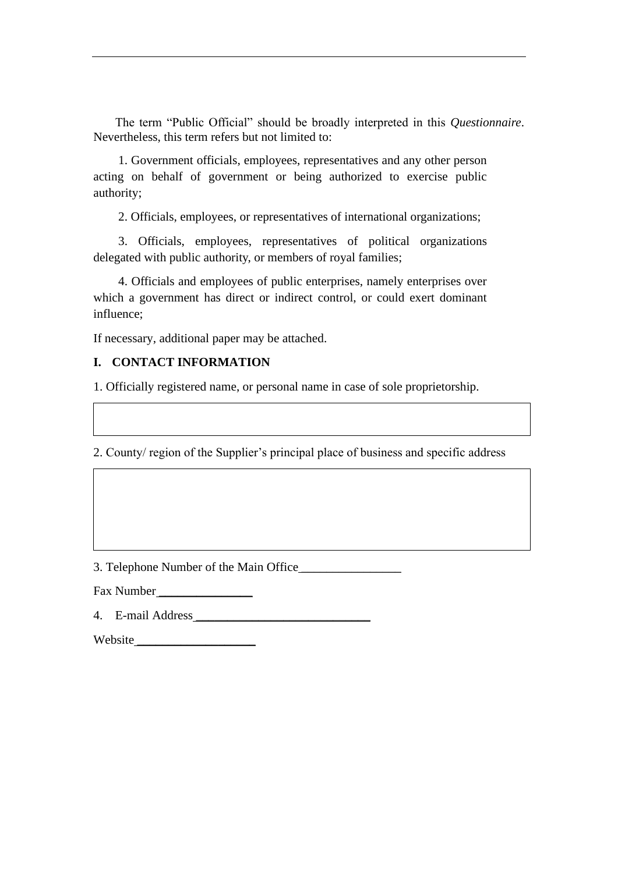The term "Public Official" should be broadly interpreted in this *Questionnaire*. Nevertheless, this term refers but not limited to:

1. Government officials, employees, representatives and any other person acting on behalf of government or being authorized to exercise public authority;

2. Officials, employees, or representatives of international organizations;

3. Officials, employees, representatives of political organizations delegated with public authority, or members of royal families;

4. Officials and employees of public enterprises, namely enterprises over which a government has direct or indirect control, or could exert dominant influence;

If necessary, additional paper may be attached.

### **I. CONTACT INFORMATION**

1. Officially registered name, or personal name in case of sole proprietorship.

2. County/ region of the Supplier's principal place of business and specific address

3. Telephone Number of the Main Office \_\_\_\_\_\_\_\_\_\_\_\_\_\_\_\_

Fax Number

4. E-mail Address \_\_\_\_\_\_\_\_\_\_\_\_\_\_\_\_\_\_\_\_\_\_\_\_\_\_\_\_

Website \_\_\_\_\_\_\_\_\_\_\_\_\_\_\_\_\_\_\_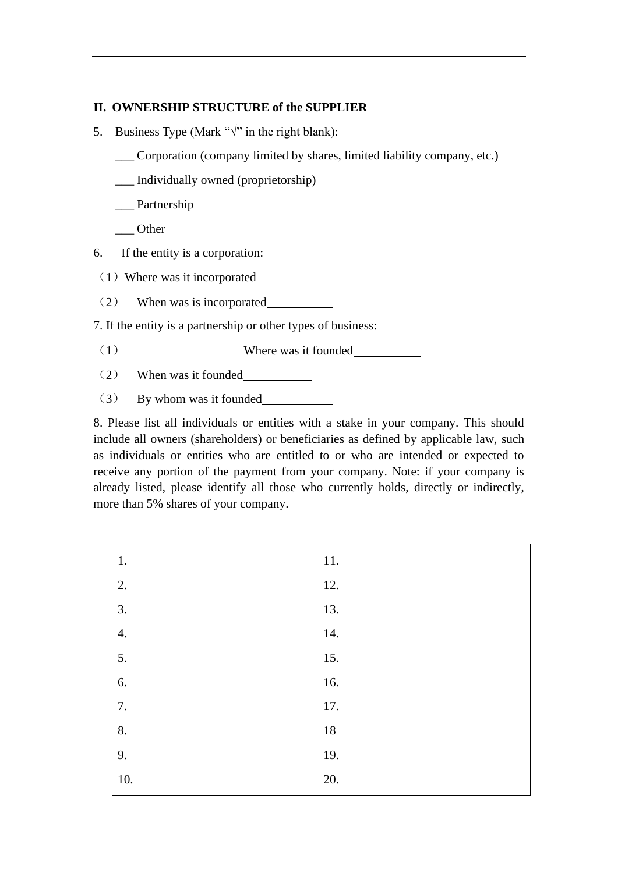## **II. OWNERSHIP STRUCTURE of the SUPPLIER**

- 5. Business Type (Mark " $\sqrt{ }$ " in the right blank):
	- Corporation (company limited by shares, limited liability company, etc.)
	- \_\_\_ Individually owned (proprietorship)
	- Partnership
	- \_\_\_ Other
- 6. If the entity is a corporation:
- (1)Where was it incorporated
- (2) When was is incorporated
- 7. If the entity is a partnership or other types of business:
- (1) Where was it founded
- (2) When was it founded
- (3) By whom was it founded

8. Please list all individuals or entities with a stake in your company. This should include all owners (shareholders) or beneficiaries as defined by applicable law, such as individuals or entities who are entitled to or who are intended or expected to receive any portion of the payment from your company. Note: if your company is already listed, please identify all those who currently holds, directly or indirectly, more than 5% shares of your company.

| 1.               | 11.    |
|------------------|--------|
| $\overline{2}$ . | 12.    |
| $\overline{3}$ . | 13.    |
| 4.               | 14.    |
| $\overline{5}$ . | 15.    |
| 6.               | 16.    |
| $\overline{7}$ . | 17.    |
| 8.               | $18\,$ |
| 9.               | 19.    |
| 10.              | 20.    |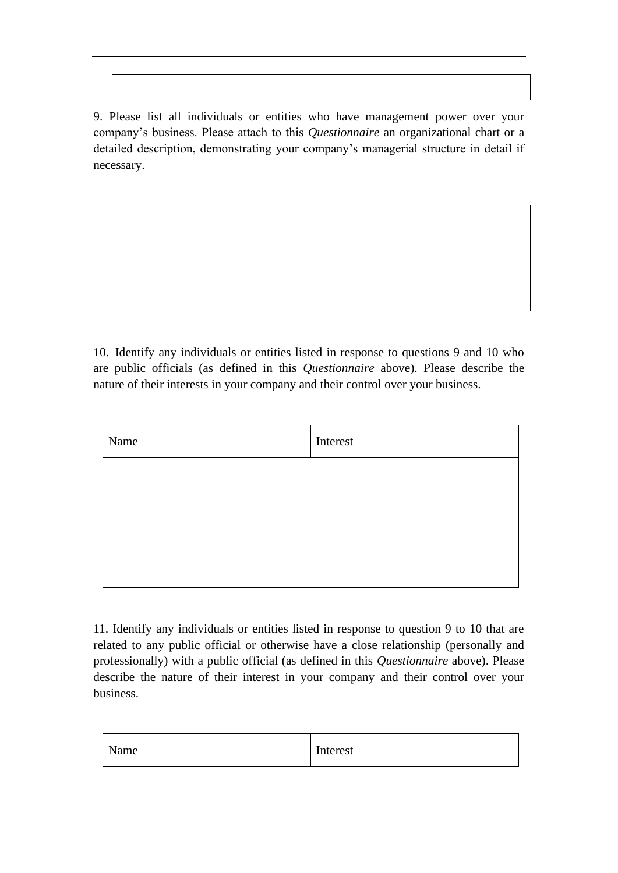9. Please list all individuals or entities who have management power over your company's business. Please attach to this *Questionnaire* an organizational chart or a detailed description, demonstrating your company's managerial structure in detail if necessary.

10. Identify any individuals or entities listed in response to questions 9 and 10 who are public officials (as defined in this *Questionnaire* above). Please describe the nature of their interests in your company and their control over your business.

| Name | Interest |
|------|----------|
|      |          |
|      |          |
|      |          |
|      |          |

11. Identify any individuals or entities listed in response to question 9 to 10 that are related to any public official or otherwise have a close relationship (personally and professionally) with a public official (as defined in this *Questionnaire* above). Please describe the nature of their interest in your company and their control over your business.

| NL   | T.       |
|------|----------|
| Name | Interest |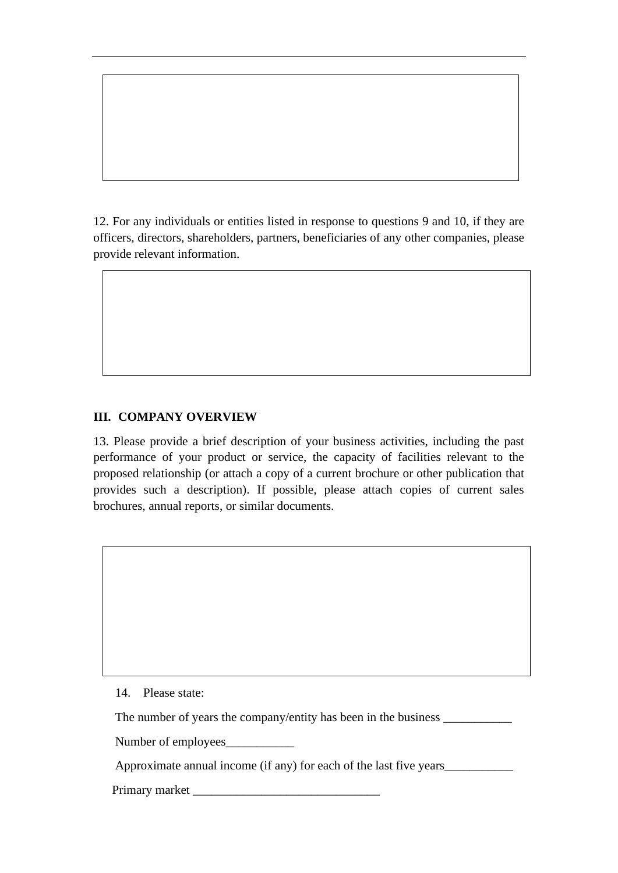12. For any individuals or entities listed in response to questions 9 and 10, if they are officers, directors, shareholders, partners, beneficiaries of any other companies, please provide relevant information.

# **III. COMPANY OVERVIEW**

13. Please provide a brief description of your business activities, including the past performance of your product or service, the capacity of facilities relevant to the proposed relationship (or attach a copy of a current brochure or other publication that provides such a description). If possible, please attach copies of current sales brochures, annual reports, or similar documents.

14. Please state:

The number of years the company/entity has been in the business \_\_\_\_\_\_\_\_\_\_\_\_\_\_\_\_

Number of employees\_\_\_\_\_\_\_\_\_\_\_

Approximate annual income (if any) for each of the last five years\_\_\_\_\_\_\_\_\_\_\_

Primary market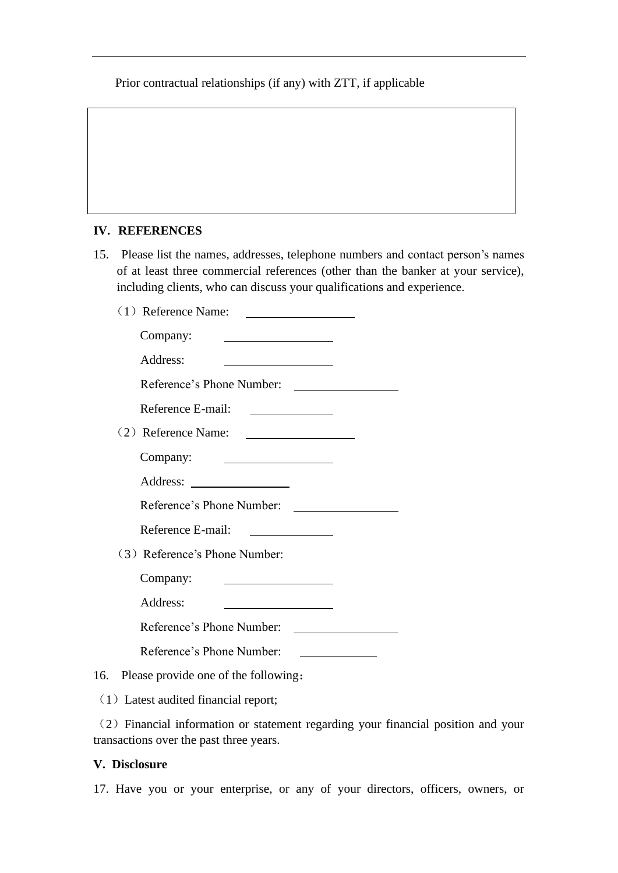Prior contractual relationships (if any) with ZTT, if applicable

## **IV. REFERENCES**

- 15. Please list the names, addresses, telephone numbers and contact person's names of at least three commercial references (other than the banker at your service), including clients, who can discuss your qualifications and experience.
	- (1) Reference Name:

| Company:                                                     |
|--------------------------------------------------------------|
| Address:                                                     |
| Reference's Phone Number:<br><u> Alexandria de la conte</u>  |
| Reference E-mail:<br><u> 1989 - Johann Barbara, martin a</u> |
| (2) Reference Name:                                          |
| Company:                                                     |
| Address:                                                     |
| Reference's Phone Number:                                    |
| Reference E-mail:                                            |
| (3) Reference's Phone Number:                                |
| Company:                                                     |
| Address:                                                     |
| Reference's Phone Number:                                    |
| Reference's Phone Number:                                    |

16. Please provide one of the following:

(1) Latest audited financial report;

(2)Financial information or statement regarding your financial position and your transactions over the past three years.

### **V. Disclosure**

17. Have you or your enterprise, or any of your directors, officers, owners, or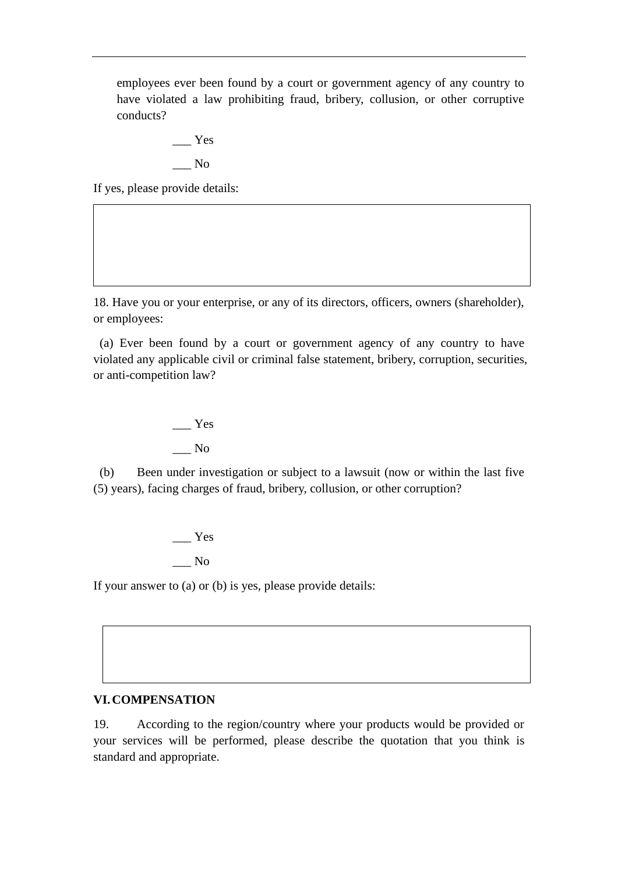employees ever been found by a court or government agency of any country to have violated a law prohibiting fraud, bribery, collusion, or other corruptive conducts?

$$
- \frac{Yes}{No}
$$

If yes, please provide details:

18. Have you or your enterprise, or any of its directors, officers, owners (shareholder), or employees:

(a) Ever been found by a court or government agency of any country to have violated any applicable civil or criminal false statement, bribery, corruption, securities, or anti-competition law?

> \_\_\_ Yes \_\_\_ No

(b) Been under investigation or subject to a lawsuit (now or within the last five (5) years), facing charges of fraud, bribery, collusion, or other corruption?

> \_\_\_ Yes \_\_\_ No

If your answer to (a) or (b) is yes, please provide details:

## **VI.COMPENSATION**

19. According to the region/country where your products would be provided or your services will be performed, please describe the quotation that you think is standard and appropriate.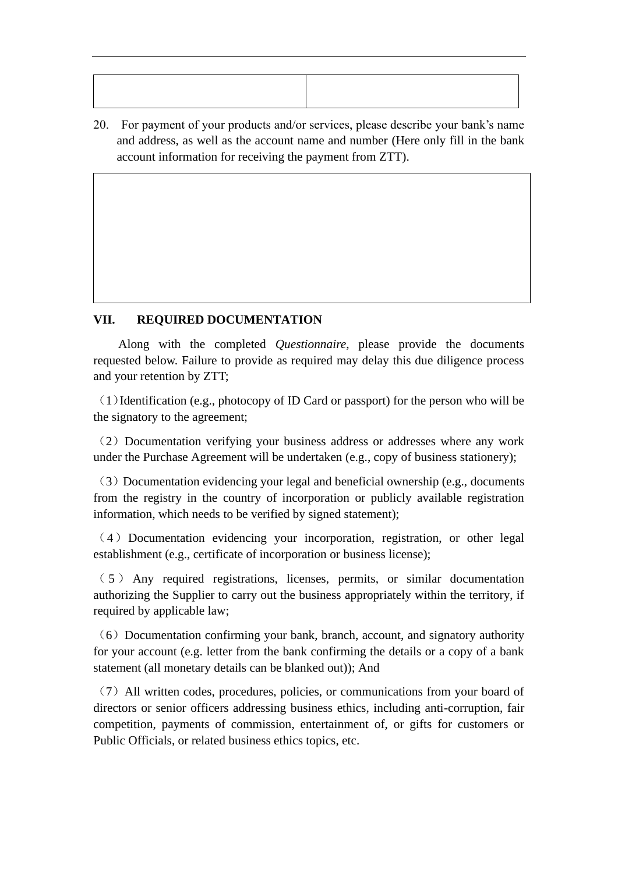20. For payment of your products and/or services, please describe your bank's name and address, as well as the account name and number (Here only fill in the bank account information for receiving the payment from ZTT).

## **VII. REQUIRED DOCUMENTATION**

Along with the completed *Questionnaire*, please provide the documents requested below. Failure to provide as required may delay this due diligence process and your retention by ZTT;

(1)Identification (e.g., photocopy of ID Card or passport) for the person who will be the signatory to the agreement;

(2) Documentation verifying your business address or addresses where any work under the Purchase Agreement will be undertaken (e.g., copy of business stationery);

(3)Documentation evidencing your legal and beneficial ownership (e.g., documents from the registry in the country of incorporation or publicly available registration information, which needs to be verified by signed statement);

(4)Documentation evidencing your incorporation, registration, or other legal establishment (e.g., certificate of incorporation or business license);

( 5 ) Any required registrations, licenses, permits, or similar documentation authorizing the Supplier to carry out the business appropriately within the territory, if required by applicable law;

 $(6)$  Documentation confirming your bank, branch, account, and signatory authority for your account (e.g. letter from the bank confirming the details or a copy of a bank statement (all monetary details can be blanked out)); And

(7)All written codes, procedures, policies, or communications from your board of directors or senior officers addressing business ethics, including anti-corruption, fair competition, payments of commission, entertainment of, or gifts for customers or Public Officials, or related business ethics topics, etc.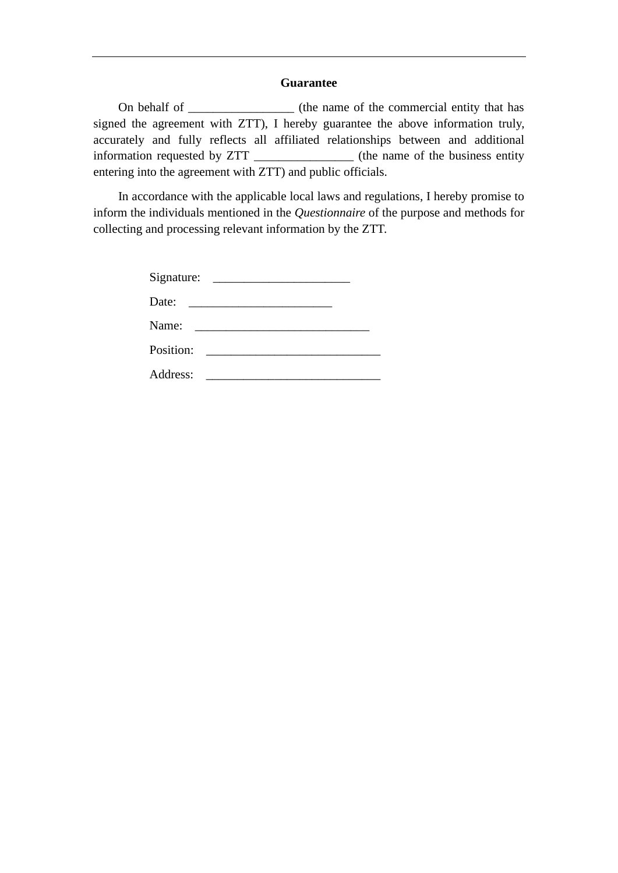### **Guarantee**

On behalf of \_\_\_\_\_\_\_\_\_\_\_\_\_\_\_\_\_\_\_ (the name of the commercial entity that has signed the agreement with ZTT), I hereby guarantee the above information truly, accurately and fully reflects all affiliated relationships between and additional information requested by ZTT \_\_\_\_\_\_\_\_\_\_\_\_\_\_\_\_ (the name of the business entity entering into the agreement with ZTT) and public officials.

In accordance with the applicable local laws and regulations, I hereby promise to inform the individuals mentioned in the *Questionnaire* of the purpose and methods for collecting and processing relevant information by the ZTT.

| Signature: | <u> Territoria de la contenentación de la contenentación de la contenentación de la contenentación de la contene</u> |
|------------|----------------------------------------------------------------------------------------------------------------------|
| Date:      | <u> 1970 - Andrea Andrew Maria (h. 1970).</u>                                                                        |
| Name:      | <u> 1989 - Andrea Albert III, martin a</u>                                                                           |
| Position:  | <u> 1989 - Andrea Albert III, martin a</u>                                                                           |
| Address:   |                                                                                                                      |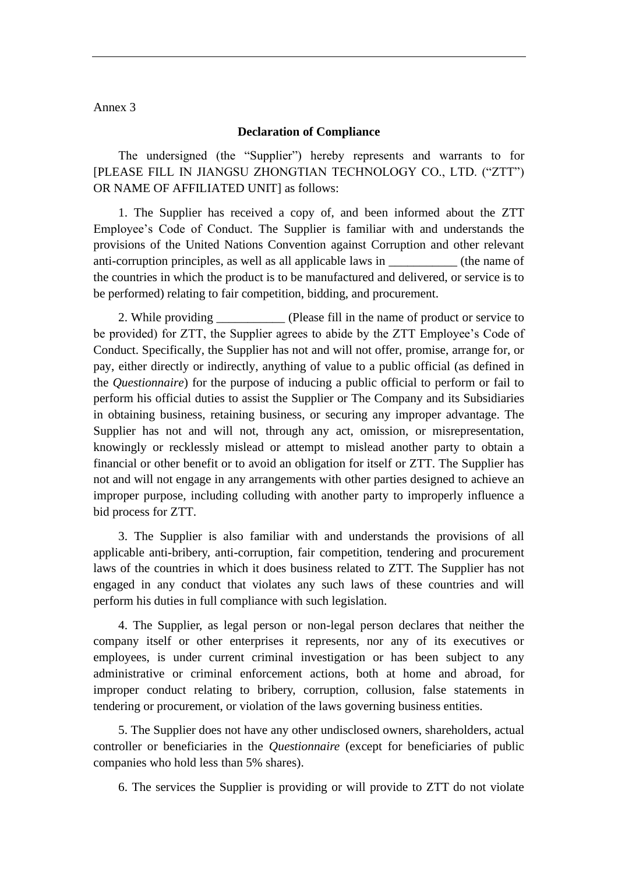#### Annex 3

#### **Declaration of Compliance**

The undersigned (the "Supplier") hereby represents and warrants to for [PLEASE FILL IN JIANGSU ZHONGTIAN TECHNOLOGY CO., LTD. ("ZTT") OR NAME OF AFFILIATED UNIT] as follows:

1. The Supplier has received a copy of, and been informed about the ZTT Employee's Code of Conduct. The Supplier is familiar with and understands the provisions of the United Nations Convention against Corruption and other relevant anti-corruption principles, as well as all applicable laws in \_\_\_\_\_\_\_\_\_\_\_\_ (the name of the countries in which the product is to be manufactured and delivered, or service is to be performed) relating to fair competition, bidding, and procurement.

2. While providing (Please fill in the name of product or service to be provided) for ZTT, the Supplier agrees to abide by the ZTT Employee's Code of Conduct. Specifically, the Supplier has not and will not offer, promise, arrange for, or pay, either directly or indirectly, anything of value to a public official (as defined in the *Questionnaire*) for the purpose of inducing a public official to perform or fail to perform his official duties to assist the Supplier or The Company and its Subsidiaries in obtaining business, retaining business, or securing any improper advantage. The Supplier has not and will not, through any act, omission, or misrepresentation, knowingly or recklessly mislead or attempt to mislead another party to obtain a financial or other benefit or to avoid an obligation for itself or ZTT. The Supplier has not and will not engage in any arrangements with other parties designed to achieve an improper purpose, including colluding with another party to improperly influence a bid process for ZTT.

3. The Supplier is also familiar with and understands the provisions of all applicable anti-bribery, anti-corruption, fair competition, tendering and procurement laws of the countries in which it does business related to ZTT. The Supplier has not engaged in any conduct that violates any such laws of these countries and will perform his duties in full compliance with such legislation.

4. The Supplier, as legal person or non-legal person declares that neither the company itself or other enterprises it represents, nor any of its executives or employees, is under current criminal investigation or has been subject to any administrative or criminal enforcement actions, both at home and abroad, for improper conduct relating to bribery, corruption, collusion, false statements in tendering or procurement, or violation of the laws governing business entities.

5. The Supplier does not have any other undisclosed owners, shareholders, actual controller or beneficiaries in the *Questionnaire* (except for beneficiaries of public companies who hold less than 5% shares).

6. The services the Supplier is providing or will provide to ZTT do not violate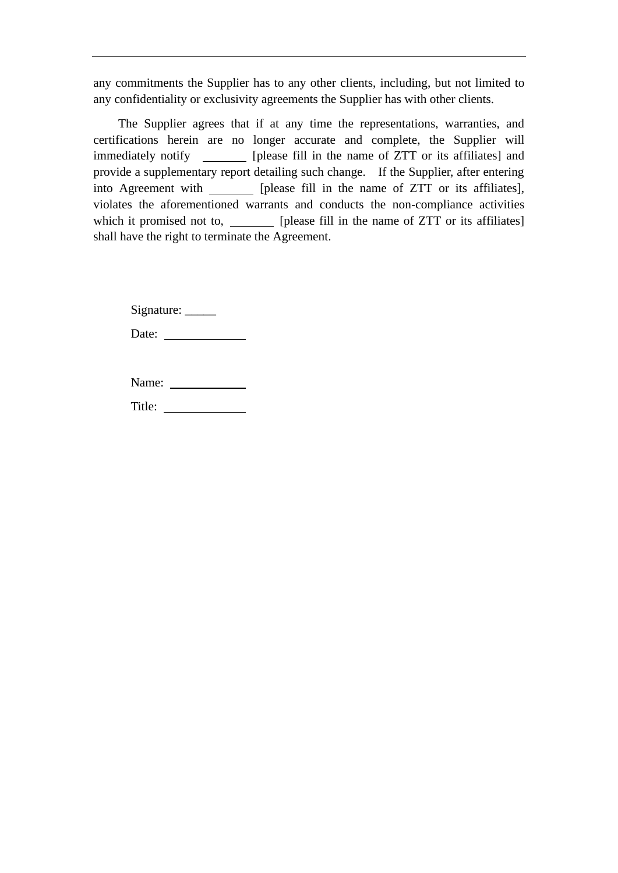any commitments the Supplier has to any other clients, including, but not limited to any confidentiality or exclusivity agreements the Supplier has with other clients.

The Supplier agrees that if at any time the representations, warranties, and certifications herein are no longer accurate and complete, the Supplier will immediately notify \_\_\_\_\_\_\_\_ [please fill in the name of ZTT or its affiliates] and provide a supplementary report detailing such change. If the Supplier, after entering into Agreement with [please fill in the name of ZTT or its affiliates], violates the aforementioned warrants and conducts the non-compliance activities which it promised not to, [please fill in the name of ZTT or its affiliates] shall have the right to terminate the Agreement.

Signature: \_\_\_\_\_\_

Date:

Title: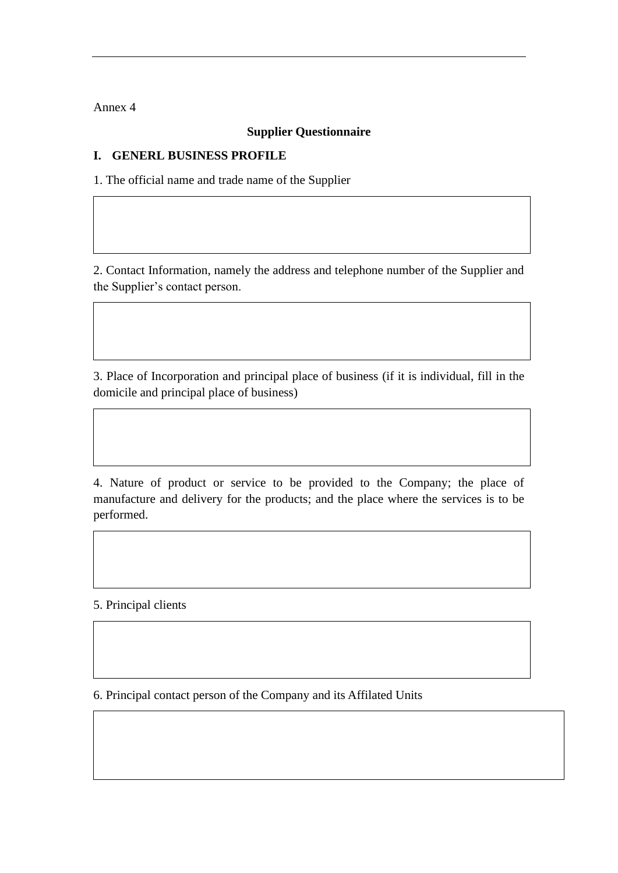Annex 4

## **Supplier Questionnaire**

## **I. GENERL BUSINESS PROFILE**

1. The official name and trade name of the Supplier

2. Contact Information, namely the address and telephone number of the Supplier and the Supplier's contact person.

3. Place of Incorporation and principal place of business (if it is individual, fill in the domicile and principal place of business)

4. Nature of product or service to be provided to the Company; the place of manufacture and delivery for the products; and the place where the services is to be performed.

5. Principal clients

6. Principal contact person of the Company and its Affilated Units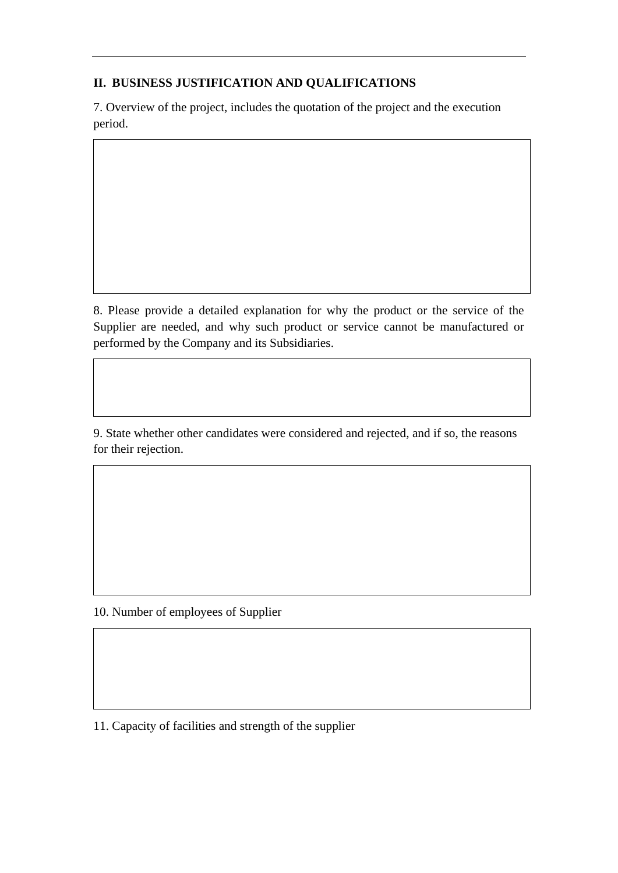## **II. BUSINESS JUSTIFICATION AND QUALIFICATIONS**

7. Overview of the project, includes the quotation of the project and the execution period.

8. Please provide a detailed explanation for why the product or the service of the Supplier are needed, and why such product or service cannot be manufactured or performed by the Company and its Subsidiaries.

9. State whether other candidates were considered and rejected, and if so, the reasons for their rejection.

10. Number of employees of Supplier

11. Capacity of facilities and strength of the supplier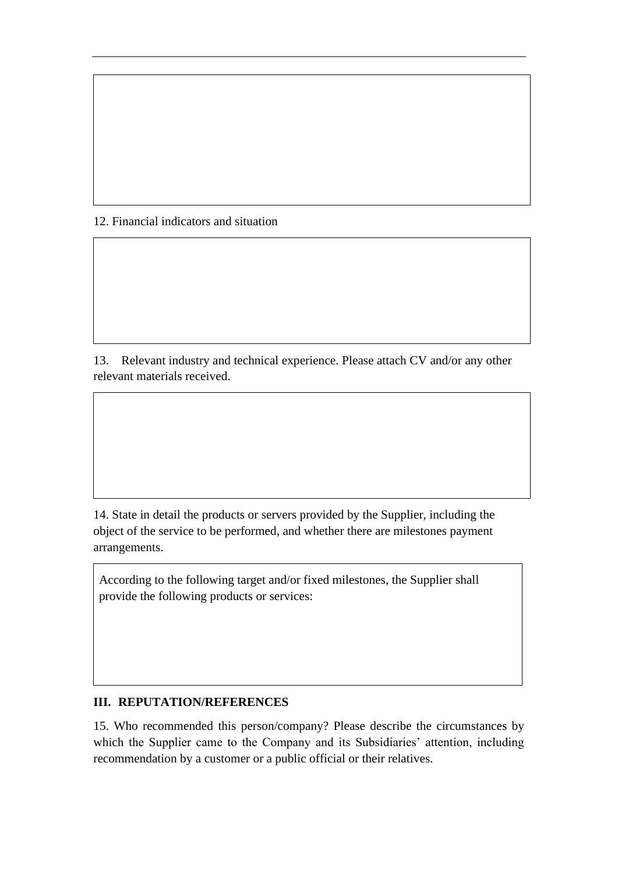## 12. Financial indicators and situation

13. Relevant industry and technical experience. Please attach CV and/or any other relevant materials received.

14. State in detail the products or servers provided by the Supplier, including the object of the service to be performed, and whether there are milestones payment arrangements.

According to the following target and/or fixed milestones, the Supplier shall provide the following products or services:

### **III. REPUTATION/REFERENCES**

15. Who recommended this person/company? Please describe the circumstances by which the Supplier came to the Company and its Subsidiaries' attention, including recommendation by a customer or a public official or their relatives.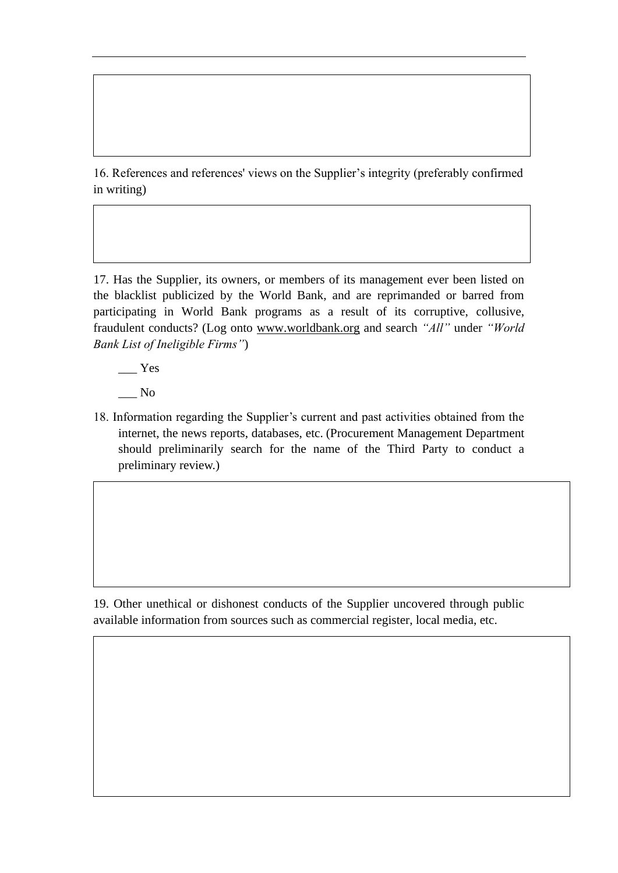16. References and references' views on the Supplier's integrity (preferably confirmed in writing)

17. Has the Supplier, its owners, or members of its management ever been listed on the blacklist publicized by the World Bank, and are reprimanded or barred from participating in World Bank programs as a result of its corruptive, collusive, fraudulent conducts? (Log onto [www.worldbank.org](http://www.worldbank.org/) and search *"All"* under *"World Bank List of Ineligible Firms"*)

 $\equiv$  Yes

\_\_\_ No

18. Information regarding the Supplier's current and past activities obtained from the internet, the news reports, databases, etc. (Procurement Management Department should preliminarily search for the name of the Third Party to conduct a preliminary review.)

19. Other unethical or dishonest conducts of the Supplier uncovered through public available information from sources such as commercial register, local media, etc.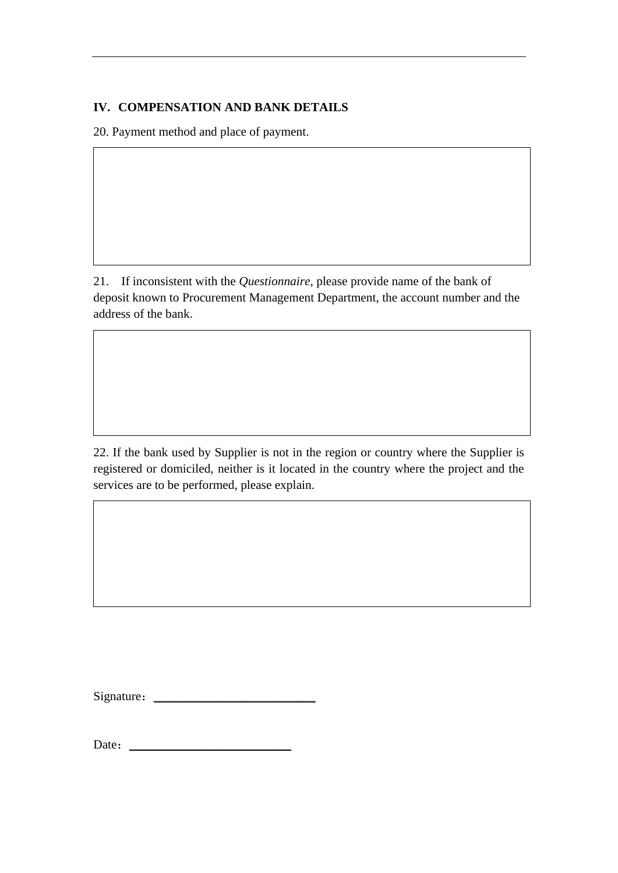## **IV. COMPENSATION AND BANK DETAILS**

20. Payment method and place of payment.

21. If inconsistent with the *Questionnaire*, please provide name of the bank of deposit known to Procurement Management Department, the account number and the address of the bank.

22. If the bank used by Supplier is not in the region or country where the Supplier is registered or domiciled, neither is it located in the country where the project and the services are to be performed, please explain.

Signature:\_\_\_\_\_\_\_\_\_\_\_\_\_\_\_\_\_\_\_\_\_\_\_\_\_\_

Date: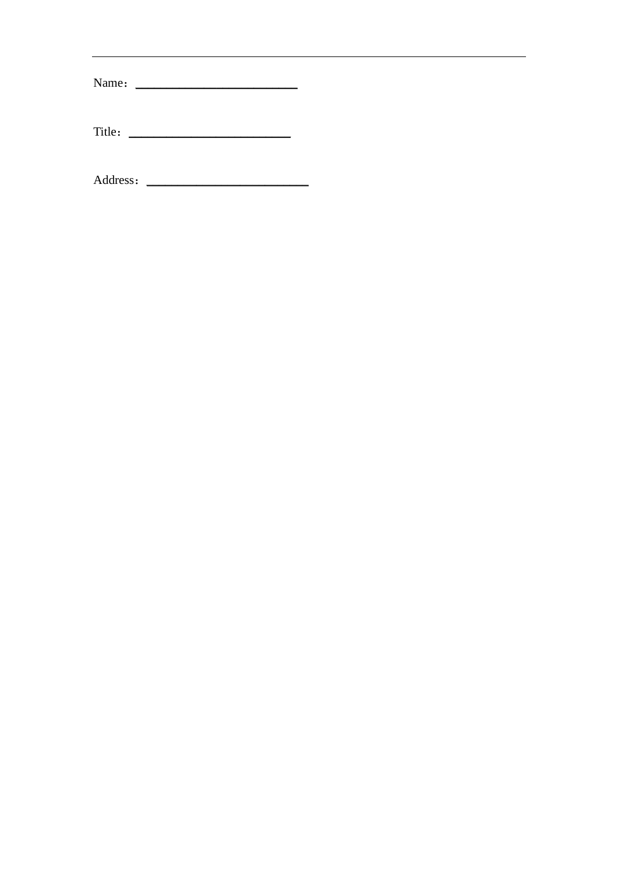| Name:  |  |  |  |
|--------|--|--|--|
| Title: |  |  |  |
|        |  |  |  |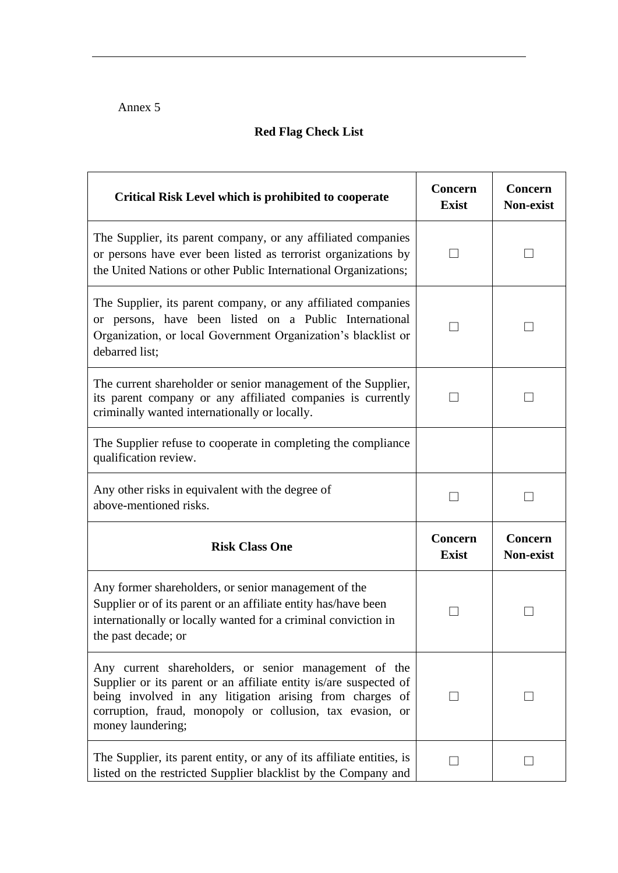# Annex 5

# **Red Flag Check List**

| <b>Critical Risk Level which is prohibited to cooperate</b>                                                                                                                                                                                                              | <b>Concern</b><br><b>Exist</b> | Concern<br>Non-exist        |
|--------------------------------------------------------------------------------------------------------------------------------------------------------------------------------------------------------------------------------------------------------------------------|--------------------------------|-----------------------------|
| The Supplier, its parent company, or any affiliated companies<br>or persons have ever been listed as terrorist organizations by<br>the United Nations or other Public International Organizations;                                                                       |                                |                             |
| The Supplier, its parent company, or any affiliated companies<br>or persons, have been listed on a Public International<br>Organization, or local Government Organization's blacklist or<br>debarred list;                                                               |                                |                             |
| The current shareholder or senior management of the Supplier,<br>its parent company or any affiliated companies is currently<br>criminally wanted internationally or locally.                                                                                            |                                |                             |
| The Supplier refuse to cooperate in completing the compliance<br>qualification review.                                                                                                                                                                                   |                                |                             |
| Any other risks in equivalent with the degree of<br>above-mentioned risks.                                                                                                                                                                                               |                                |                             |
| <b>Risk Class One</b>                                                                                                                                                                                                                                                    | <b>Concern</b><br><b>Exist</b> | Concern<br><b>Non-exist</b> |
| Any former shareholders, or senior management of the<br>Supplier or of its parent or an affiliate entity has/have been<br>internationally or locally wanted for a criminal conviction in<br>the past decade; or                                                          |                                |                             |
| Any current shareholders, or senior management of the<br>Supplier or its parent or an affiliate entity is/are suspected of<br>being involved in any litigation arising from charges of<br>corruption, fraud, monopoly or collusion, tax evasion, or<br>money laundering; |                                |                             |
| The Supplier, its parent entity, or any of its affiliate entities, is<br>listed on the restricted Supplier blacklist by the Company and                                                                                                                                  | $\Box$                         | $\vert \ \ \vert$           |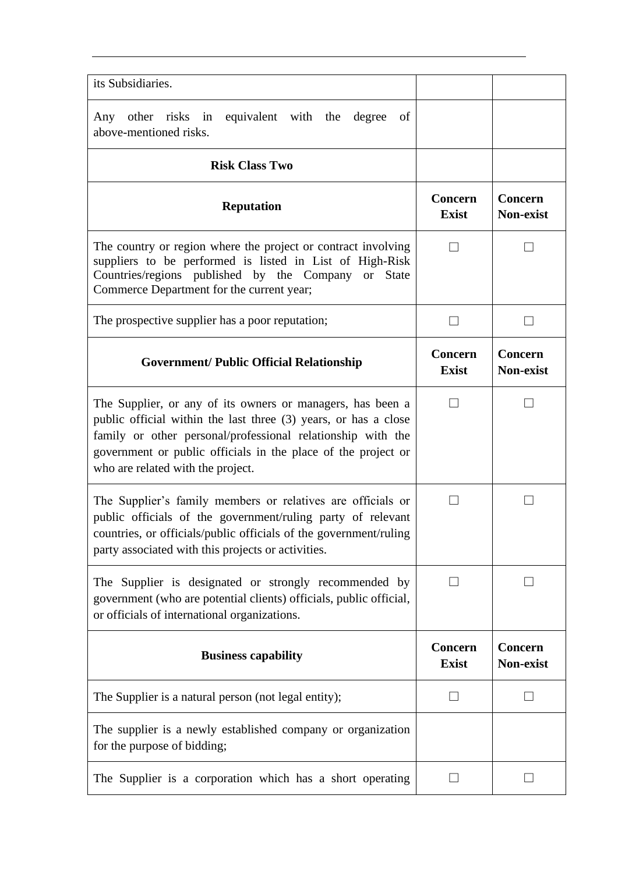| its Subsidiaries.                                                                                                                                                                                                                                                                                  |                                |                                    |
|----------------------------------------------------------------------------------------------------------------------------------------------------------------------------------------------------------------------------------------------------------------------------------------------------|--------------------------------|------------------------------------|
| Any other risks in equivalent with the<br>degree<br>of<br>above-mentioned risks.                                                                                                                                                                                                                   |                                |                                    |
| <b>Risk Class Two</b>                                                                                                                                                                                                                                                                              |                                |                                    |
| <b>Reputation</b>                                                                                                                                                                                                                                                                                  | Concern<br><b>Exist</b>        | Concern<br><b>Non-exist</b>        |
| The country or region where the project or contract involving<br>suppliers to be performed is listed in List of High-Risk<br>Countries/regions published by the Company or State<br>Commerce Department for the current year;                                                                      | $\Box$                         |                                    |
| The prospective supplier has a poor reputation;                                                                                                                                                                                                                                                    |                                |                                    |
| <b>Government/ Public Official Relationship</b>                                                                                                                                                                                                                                                    | Concern<br><b>Exist</b>        | <b>Concern</b><br><b>Non-exist</b> |
| The Supplier, or any of its owners or managers, has been a<br>public official within the last three (3) years, or has a close<br>family or other personal/professional relationship with the<br>government or public officials in the place of the project or<br>who are related with the project. |                                |                                    |
| The Supplier's family members or relatives are officials or<br>public officials of the government/ruling party of relevant<br>countries, or officials/public officials of the government/ruling<br>party associated with this projects or activities.                                              | $\overline{\phantom{0}}$       |                                    |
| The Supplier is designated or strongly recommended by<br>government (who are potential clients) officials, public official,<br>or officials of international organizations.                                                                                                                        |                                |                                    |
| <b>Business capability</b>                                                                                                                                                                                                                                                                         | <b>Concern</b><br><b>Exist</b> | Concern<br>Non-exist               |
| The Supplier is a natural person (not legal entity);                                                                                                                                                                                                                                               |                                |                                    |
| The supplier is a newly established company or organization<br>for the purpose of bidding;                                                                                                                                                                                                         |                                |                                    |
| The Supplier is a corporation which has a short operating                                                                                                                                                                                                                                          |                                |                                    |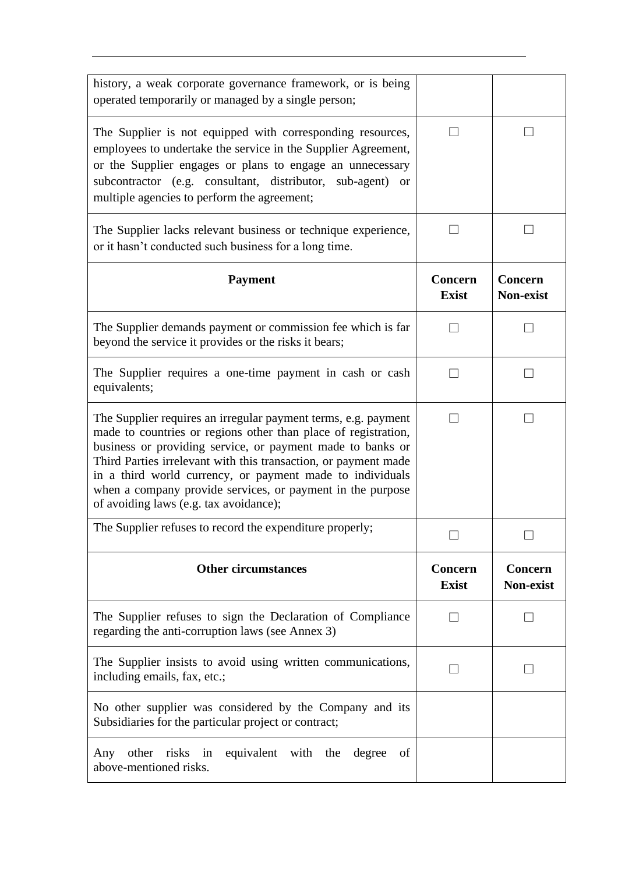| history, a weak corporate governance framework, or is being<br>operated temporarily or managed by a single person;                                                                                                                                                                                                                                                                                                                     |                         |                      |
|----------------------------------------------------------------------------------------------------------------------------------------------------------------------------------------------------------------------------------------------------------------------------------------------------------------------------------------------------------------------------------------------------------------------------------------|-------------------------|----------------------|
| The Supplier is not equipped with corresponding resources,<br>employees to undertake the service in the Supplier Agreement,<br>or the Supplier engages or plans to engage an unnecessary<br>subcontractor (e.g. consultant, distributor, sub-agent)<br>or<br>multiple agencies to perform the agreement;                                                                                                                               |                         |                      |
| The Supplier lacks relevant business or technique experience,<br>or it hasn't conducted such business for a long time.                                                                                                                                                                                                                                                                                                                 |                         |                      |
| <b>Payment</b>                                                                                                                                                                                                                                                                                                                                                                                                                         | Concern<br><b>Exist</b> | Concern<br>Non-exist |
| The Supplier demands payment or commission fee which is far<br>beyond the service it provides or the risks it bears;                                                                                                                                                                                                                                                                                                                   |                         |                      |
| The Supplier requires a one-time payment in cash or cash<br>equivalents;                                                                                                                                                                                                                                                                                                                                                               |                         | $\mathcal{L}$        |
| The Supplier requires an irregular payment terms, e.g. payment<br>made to countries or regions other than place of registration,<br>business or providing service, or payment made to banks or<br>Third Parties irrelevant with this transaction, or payment made<br>in a third world currency, or payment made to individuals<br>when a company provide services, or payment in the purpose<br>of avoiding laws (e.g. tax avoidance); |                         |                      |
| The Supplier refuses to record the expenditure properly;                                                                                                                                                                                                                                                                                                                                                                               |                         |                      |
| <b>Other circumstances</b>                                                                                                                                                                                                                                                                                                                                                                                                             | Concern<br><b>Exist</b> | Concern<br>Non-exist |
| The Supplier refuses to sign the Declaration of Compliance<br>regarding the anti-corruption laws (see Annex 3)                                                                                                                                                                                                                                                                                                                         |                         |                      |
| The Supplier insists to avoid using written communications,<br>including emails, fax, etc.;                                                                                                                                                                                                                                                                                                                                            |                         |                      |
| No other supplier was considered by the Company and its<br>Subsidiaries for the particular project or contract;                                                                                                                                                                                                                                                                                                                        |                         |                      |
| equivalent with the degree<br>other risks in<br>of<br>Any<br>above-mentioned risks.                                                                                                                                                                                                                                                                                                                                                    |                         |                      |